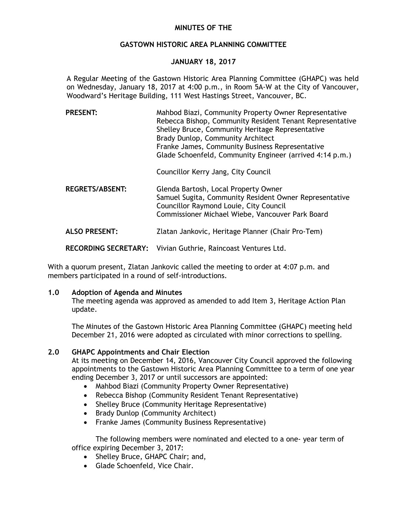## **MINUTES OF THE**

### **GASTOWN HISTORIC AREA PLANNING COMMITTEE**

## **JANUARY 18, 2017**

A Regular Meeting of the Gastown Historic Area Planning Committee (GHAPC) was held on Wednesday, January 18, 2017 at 4:00 p.m., in Room 5A-W at the City of Vancouver, Woodward's Heritage Building, 111 West Hastings Street, Vancouver, BC.

| <b>PRESENT:</b> | Mahbod Biazi, Community Property Owner Representative    |
|-----------------|----------------------------------------------------------|
|                 | Rebecca Bishop, Community Resident Tenant Representative |
|                 | Shelley Bruce, Community Heritage Representative         |
|                 | Brady Dunlop, Community Architect                        |
|                 | Franke James, Community Business Representative          |
|                 | Glade Schoenfeld, Community Engineer (arrived 4:14 p.m.) |

Councillor Kerry Jang, City Council

**REGRETS/ABSENT:** Glenda Bartosh, Local Property Owner Samuel Sugita, Community Resident Owner Representative Councillor Raymond Louie, City Council Commissioner Michael Wiebe, Vancouver Park Board

**ALSO PRESENT:** Zlatan Jankovic, Heritage Planner (Chair Pro-Tem)

**RECORDING SECRETARY:** Vivian Guthrie, Raincoast Ventures Ltd.

With a quorum present, Zlatan Jankovic called the meeting to order at 4:07 p.m. and members participated in a round of self-introductions.

## **1.0 Adoption of Agenda and Minutes**

The meeting agenda was approved as amended to add Item 3, Heritage Action Plan update.

The Minutes of the Gastown Historic Area Planning Committee (GHAPC) meeting held December 21, 2016 were adopted as circulated with minor corrections to spelling.

## **2.0 GHAPC Appointments and Chair Election**

At its meeting on December 14, 2016, Vancouver City Council approved the following appointments to the Gastown Historic Area Planning Committee to a term of one year ending December 3, 2017 or until successors are appointed:

- Mahbod Biazi (Community Property Owner Representative)
- Rebecca Bishop (Community Resident Tenant Representative)
- Shelley Bruce (Community Heritage Representative)
- Brady Dunlop (Community Architect)
- Franke James (Community Business Representative)

The following members were nominated and elected to a one- year term of office expiring December 3, 2017:

- Shelley Bruce, GHAPC Chair; and,
- Glade Schoenfeld, Vice Chair.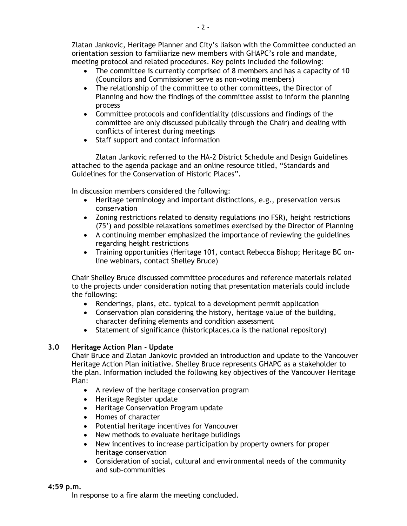Zlatan Jankovic, Heritage Planner and City's liaison with the Committee conducted an orientation session to familiarize new members with GHAPC's role and mandate, meeting protocol and related procedures. Key points included the following:

- The committee is currently comprised of 8 members and has a capacity of 10 (Councilors and Commissioner serve as non-voting members)
- The relationship of the committee to other committees, the Director of Planning and how the findings of the committee assist to inform the planning process
- Committee protocols and confidentiality (discussions and findings of the committee are only discussed publically through the Chair) and dealing with conflicts of interest during meetings
- Staff support and contact information

Zlatan Jankovic referred to the HA-2 District Schedule and Design Guidelines attached to the agenda package and an online resource titled, "Standards and Guidelines for the Conservation of Historic Places".

In discussion members considered the following:

- Heritage terminology and important distinctions, e.g., preservation versus conservation
- Zoning restrictions related to density regulations (no FSR), height restrictions (75') and possible relaxations sometimes exercised by the Director of Planning
- A continuing member emphasized the importance of reviewing the guidelines regarding height restrictions
- Training opportunities (Heritage 101, contact Rebecca Bishop; Heritage BC online webinars, contact Shelley Bruce)

Chair Shelley Bruce discussed committee procedures and reference materials related to the projects under consideration noting that presentation materials could include the following:

- Renderings, plans, etc. typical to a development permit application
- Conservation plan considering the history, heritage value of the building, character defining elements and condition assessment
- Statement of significance (historicplaces.ca is the national repository)

# **3.0 Heritage Action Plan - Update**

Chair Bruce and Zlatan Jankovic provided an introduction and update to the Vancouver Heritage Action Plan initiative. Shelley Bruce represents GHAPC as a stakeholder to the plan. Information included the following key objectives of the Vancouver Heritage Plan:

- A review of the heritage conservation program
- Heritage Register update
- Heritage Conservation Program update
- Homes of character
- Potential heritage incentives for Vancouver
- New methods to evaluate heritage buildings
- New incentives to increase participation by property owners for proper heritage conservation
- Consideration of social, cultural and environmental needs of the community and sub-communities

#### **4:59 p.m.**

In response to a fire alarm the meeting concluded.